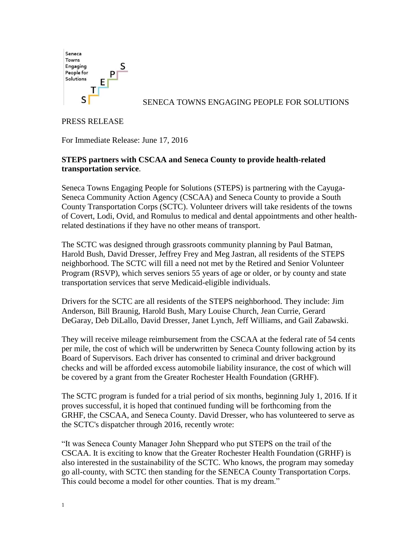

SENECA TOWNS ENGAGING PEOPLE FOR SOLUTIONS

## PRESS RELEASE

For Immediate Release: June 17, 2016

## **STEPS partners with CSCAA and Seneca County to provide health-related transportation service**.

Seneca Towns Engaging People for Solutions (STEPS) is partnering with the Cayuga-Seneca Community Action Agency (CSCAA) and Seneca County to provide a South County Transportation Corps (SCTC). Volunteer drivers will take residents of the towns of Covert, Lodi, Ovid, and Romulus to medical and dental appointments and other healthrelated destinations if they have no other means of transport.

The SCTC was designed through grassroots community planning by Paul Batman, Harold Bush, David Dresser, Jeffrey Frey and Meg Jastran, all residents of the STEPS neighborhood. The SCTC will fill a need not met by the Retired and Senior Volunteer Program (RSVP), which serves seniors 55 years of age or older, or by county and state transportation services that serve Medicaid-eligible individuals.

Drivers for the SCTC are all residents of the STEPS neighborhood. They include: Jim Anderson, Bill Braunig, Harold Bush, Mary Louise Church, Jean Currie, Gerard DeGaray, Deb DiLallo, David Dresser, Janet Lynch, Jeff Williams, and Gail Zabawski.

They will receive mileage reimbursement from the CSCAA at the federal rate of 54 cents per mile, the cost of which will be underwritten by Seneca County following action by its Board of Supervisors. Each driver has consented to criminal and driver background checks and will be afforded excess automobile liability insurance, the cost of which will be covered by a grant from the Greater Rochester Health Foundation (GRHF).

The SCTC program is funded for a trial period of six months, beginning July 1, 2016. If it proves successful, it is hoped that continued funding will be forthcoming from the GRHF, the CSCAA, and Seneca County. David Dresser, who has volunteered to serve as the SCTC's dispatcher through 2016, recently wrote:

"It was Seneca County Manager John Sheppard who put STEPS on the trail of the CSCAA. It is exciting to know that the Greater Rochester Health Foundation (GRHF) is also interested in the sustainability of the SCTC. Who knows, the program may someday go all-county, with SCTC then standing for the SENECA County Transportation Corps. This could become a model for other counties. That is my dream."